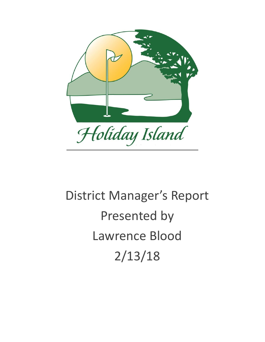

# District Manager's Report Presented by Lawrence Blood 2/13/18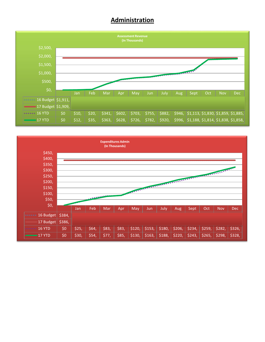## **Administration**



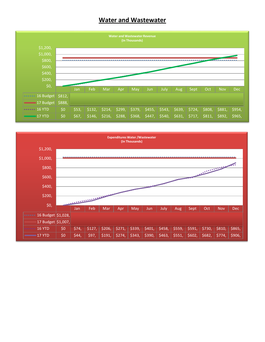## **Water and Wastewater**



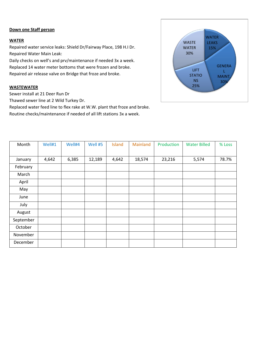#### **Down one Staff person**

#### **WATER**

Repaired water service leaks: Shield Dr/Fairway Place, 198 H.I Dr. Repaired Water Main Leak:

Daily checks on well's and prv/maintenance if needed 3x a week. Replaced 14 water meter bottoms that were frozen and broke. Repaired air release valve on Bridge that froze and broke.

#### **WASTEWATER**

Sewer install at 21 Deer Run Dr

Thawed sewer line at 2 Wild Turkey Dr.

Replaced water feed line to flex rake at W.W. plant that froze and broke. Routine checks/maintenance if needed of all lift stations 3x a week.



| Month     | Well#1 | Well#4 | Well #5 | Island | Mainland | Production | <b>Water Billed</b> | % Loss |
|-----------|--------|--------|---------|--------|----------|------------|---------------------|--------|
|           |        |        |         |        |          |            |                     |        |
| January   | 4,642  | 6,385  | 12,189  | 4,642  | 18,574   | 23,216     | 5,574               | 78.7%  |
| February  |        |        |         |        |          |            |                     |        |
| March     |        |        |         |        |          |            |                     |        |
| April     |        |        |         |        |          |            |                     |        |
| May       |        |        |         |        |          |            |                     |        |
| June      |        |        |         |        |          |            |                     |        |
| July      |        |        |         |        |          |            |                     |        |
| August    |        |        |         |        |          |            |                     |        |
| September |        |        |         |        |          |            |                     |        |
| October   |        |        |         |        |          |            |                     |        |
| November  |        |        |         |        |          |            |                     |        |
| December  |        |        |         |        |          |            |                     |        |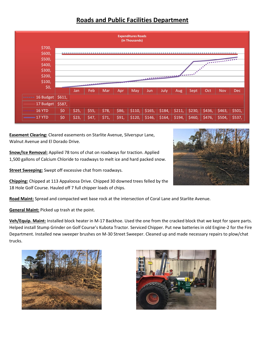# **Roads and Public Facilities Department**



**Easement Clearing:** Cleared easements on Starlite Avenue, Silverspur Lane, Walnut Avenue and El Dorado Drive.

**Snow/Ice Removal:** Applied 78 tons of chat on roadways for traction. Applied 1,500 gallons of Calcium Chloride to roadways to melt ice and hard packed snow.

**Street Sweeping:** Swept off excessive chat from roadways.

**Chipping:** Chipped at 113 Appaloosa Drive. Chipped 30 downed trees felled by the 18 Hole Golf Course. Hauled off 7 full chipper loads of chips.

**Road Maint:** Spread and compacted wet base rock at the intersection of Coral Lane and Starlite Avenue.

**General Maint:** Picked up trash at the point.

**Veh/Equip. Maint:** Installed block heater in M-17 Backhoe. Used the one from the cracked block that we kept for spare parts. Helped install Stump Grinder on Golf Course's Kubota Tractor. Serviced Chipper. Put new batteries in old Engine-2 for the Fire Department. Installed new sweeper brushes on M-30 Street Sweeper. Cleaned up and made necessary repairs to plow/chat trucks.





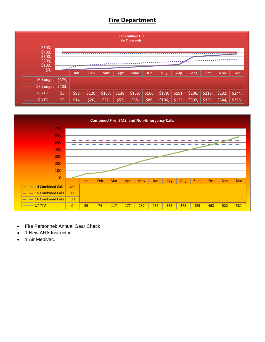# **Fire Department**





- Fire Personnel: Annual Gear Check
- 1 New AHA Instructor
- 1 Air Medivac.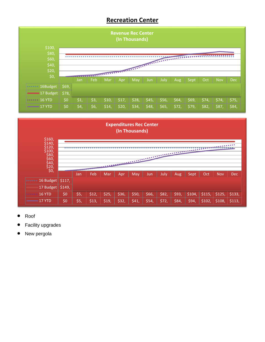# **Recreation Center**





- Roof
- Facility upgrades
- New pergola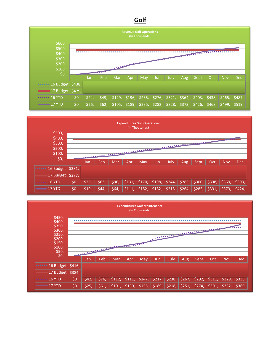## **Golf**





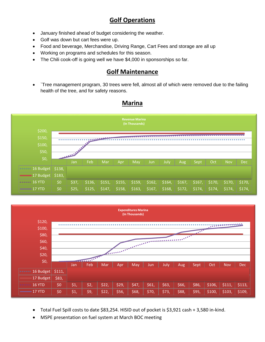# **Golf Operations**

- January finished ahead of budget considering the weather.
- Golf was down but cart fees were up.
- Food and beverage, Merchandise, Driving Range, Cart Fees and storage are all up
- Working on programs and schedules for this season.
- The Chili cook-off is going well we have \$4,000 in sponsorships so far.

# **Golf Maintenance**

• `Tree management program, 30 trees were fell, almost all of which were removed due to the failing health of the tree, and for safety reasons.



#### **Marina**



- Total Fuel Spill costs to date \$83,254. HISID out of pocket is \$3,921 cash + 3,580 in-kind.
- MSPE presentation on fuel system at March BOC meeting